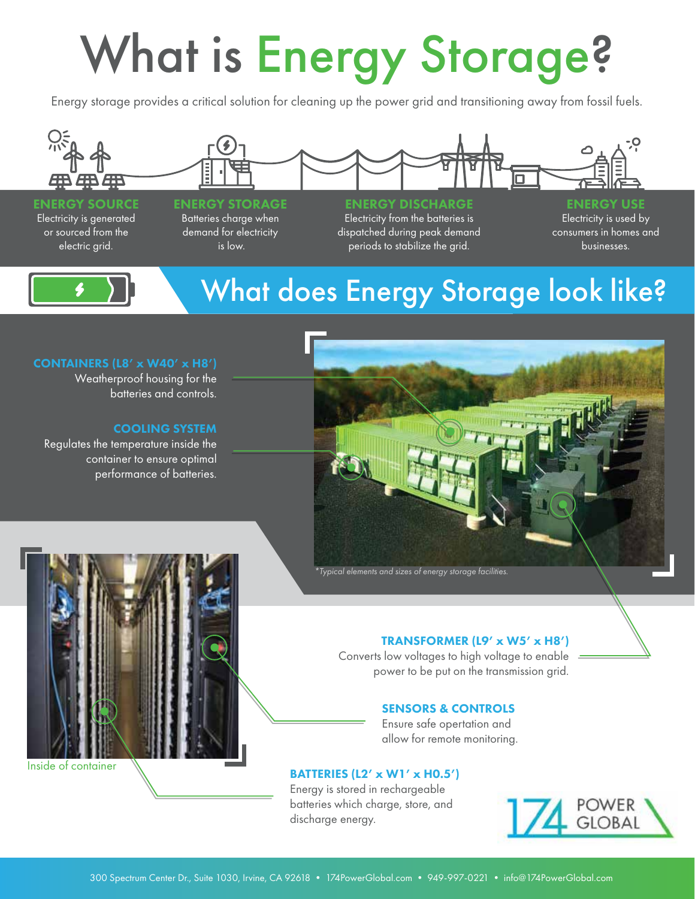# What is Energy Storage?

Energy storage provides a critical solution for cleaning up the power grid and transitioning away from fossil fuels.



#### ENERGY SOURCE Electricity is generated or sourced from the electric grid.

#### ENERGY STORAGE Batteries charge when demand for electricity

is low.

#### ENERGY DISCHARGE

Electricity from the batteries is dispatched during peak demand periods to stabilize the grid.

ENERGY USE Electricity is used by consumers in homes and businesses.

Inside of container

### What does Energy Storage look like?

#### CONTAINERS (L8' x W40' x H8')

Weatherproof housing for the batteries and controls.

#### COOLING SYSTEM

Regulates the temperature inside the container to ensure optimal performance of batteries.





Converts low voltages to high voltage to enable power to be put on the transmission grid.

#### SENSORS & CONTROLS

Ensure safe opertation and allow for remote monitoring.

#### BATTERIES (L2' x W1' x H0.5')

Energy is stored in rechargeable batteries which charge, store, and discharge energy.